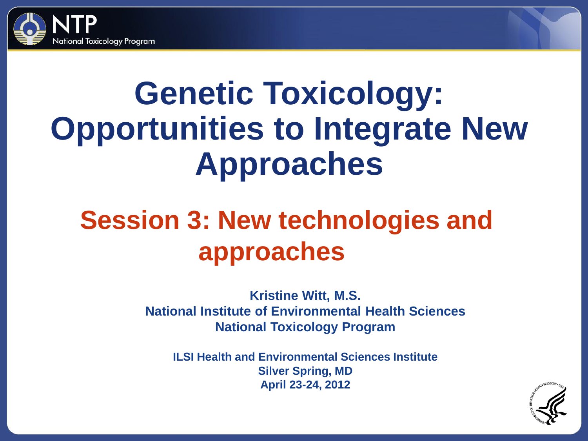

# **Genetic Toxicology: Opportunities to Integrate New Approaches**

## **Session 3: New technologies and approaches**

**Kristine Witt, M.S. National Institute of Environmental Health Sciences National Toxicology Program**

**ILSI Health and Environmental Sciences Institute Silver Spring, MD April 23-24, 2012**

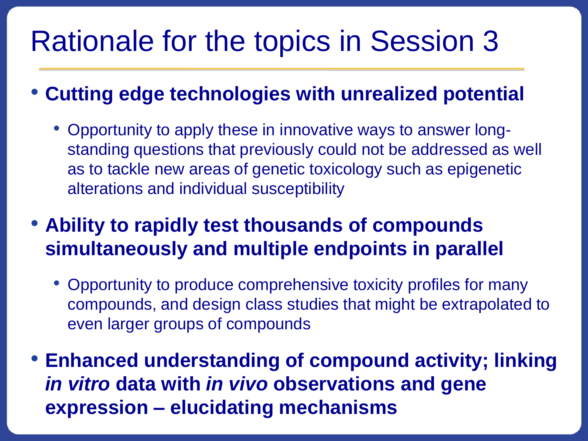# Rationale for the topics in Session 3

• **Cutting edge technologies with unrealized potential**

- Opportunity to apply these in innovative ways to answer longstanding questions that previously could not be addressed as well as to tackle new areas of genetic toxicology such as epigenetic alterations and individual susceptibility
- **Ability to rapidly test thousands of compounds simultaneously and multiple endpoints in parallel**
	- Opportunity to produce comprehensive toxicity profiles for many compounds, and design class studies that might be extrapolated to even larger groups of compounds
- **Enhanced understanding of compound activity; linking**  *in vitro* **data with** *in vivo* **observations and gene expression – elucidating mechanisms**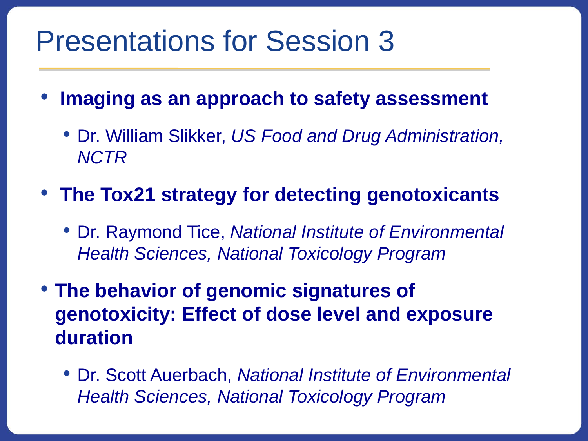### Presentations for Session 3

- **Imaging as an approach to safety assessment**
	- Dr. William Slikker, *US Food and Drug Administration, NCTR*
- **The Tox21 strategy for detecting genotoxicants**
	- Dr. Raymond Tice, *National Institute of Environmental Health Sciences, National Toxicology Program*
- **The behavior of genomic signatures of genotoxicity: Effect of dose level and exposure duration** 
	- Dr. Scott Auerbach, *National Institute of Environmental Health Sciences, National Toxicology Program*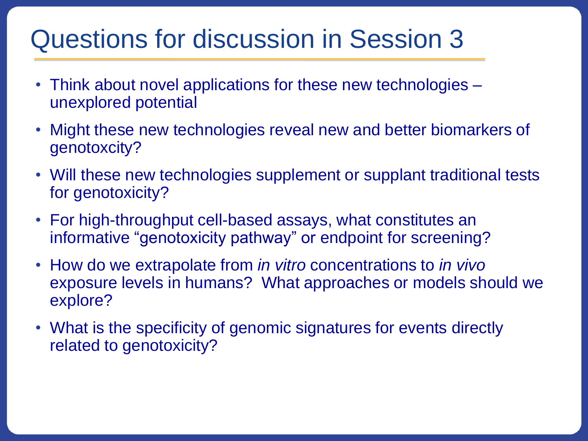#### Questions for discussion in Session 3

- Think about novel applications for these new technologies unexplored potential
- Might these new technologies reveal new and better biomarkers of genotoxcity?
- Will these new technologies supplement or supplant traditional tests for genotoxicity?
- For high-throughput cell-based assays, what constitutes an informative "genotoxicity pathway" or endpoint for screening?
- How do we extrapolate from *in vitro* concentrations to *in vivo*  exposure levels in humans? What approaches or models should we explore?
- What is the specificity of genomic signatures for events directly related to genotoxicity?